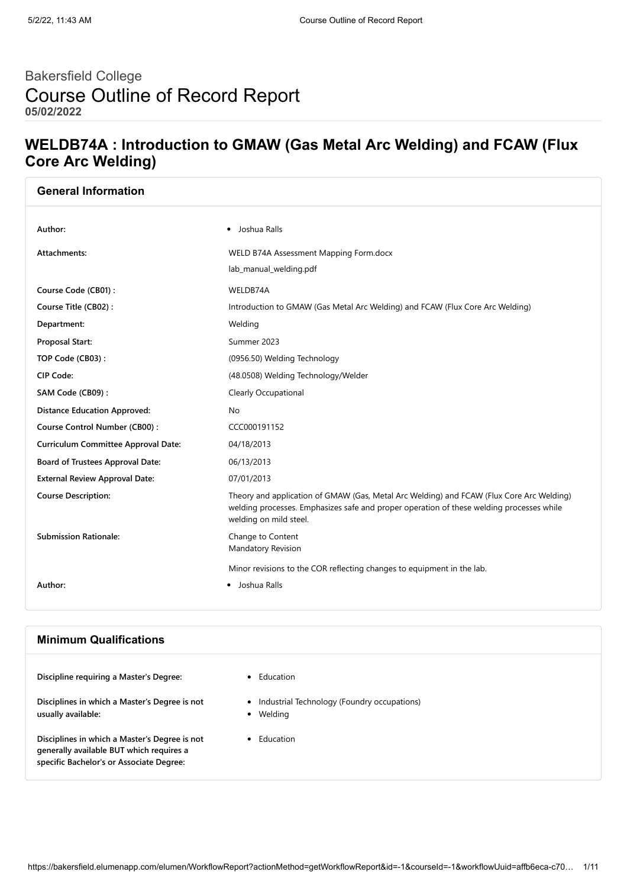# Bakersfield College Course Outline of Record Report **05/02/2022**

## **WELDB74A : Introduction to GMAW (Gas Metal Arc Welding) and FCAW (Flux Core Arc Welding)**

| <b>General Information</b>                 |                                                                                                                                                                                                                |
|--------------------------------------------|----------------------------------------------------------------------------------------------------------------------------------------------------------------------------------------------------------------|
| Author:                                    | • Joshua Ralls                                                                                                                                                                                                 |
|                                            |                                                                                                                                                                                                                |
| Attachments:                               | WELD B74A Assessment Mapping Form.docx                                                                                                                                                                         |
|                                            | lab_manual_welding.pdf                                                                                                                                                                                         |
| Course Code (CB01):                        | WELDB74A                                                                                                                                                                                                       |
| Course Title (CB02):                       | Introduction to GMAW (Gas Metal Arc Welding) and FCAW (Flux Core Arc Welding)                                                                                                                                  |
| Department:                                | Welding                                                                                                                                                                                                        |
| <b>Proposal Start:</b>                     | Summer 2023                                                                                                                                                                                                    |
| TOP Code (CB03):                           | (0956.50) Welding Technology                                                                                                                                                                                   |
| CIP Code:                                  | (48.0508) Welding Technology/Welder                                                                                                                                                                            |
| SAM Code (CB09):                           | Clearly Occupational                                                                                                                                                                                           |
| <b>Distance Education Approved:</b>        | No                                                                                                                                                                                                             |
| Course Control Number (CB00):              | CCC000191152                                                                                                                                                                                                   |
| <b>Curriculum Committee Approval Date:</b> | 04/18/2013                                                                                                                                                                                                     |
| <b>Board of Trustees Approval Date:</b>    | 06/13/2013                                                                                                                                                                                                     |
| <b>External Review Approval Date:</b>      | 07/01/2013                                                                                                                                                                                                     |
| <b>Course Description:</b>                 | Theory and application of GMAW (Gas, Metal Arc Welding) and FCAW (Flux Core Arc Welding)<br>welding processes. Emphasizes safe and proper operation of these welding processes while<br>welding on mild steel. |
| <b>Submission Rationale:</b>               | Change to Content<br>Mandatory Revision                                                                                                                                                                        |
|                                            | Minor revisions to the COR reflecting changes to equipment in the lab.                                                                                                                                         |
| Author:                                    | • Joshua Ralls                                                                                                                                                                                                 |
|                                            |                                                                                                                                                                                                                |
|                                            |                                                                                                                                                                                                                |

#### **Minimum Qualifications**

**Discipline requiring a Master's Degree:** • Education

**Disciplines in which a Master's Degree is not usually available:**

**Disciplines in which a Master's Degree is not generally available BUT which requires a specific Bachelor's or Associate Degree:**

- 
- Industrial Technology (Foundry occupations)
- Welding  $\bullet$
- Education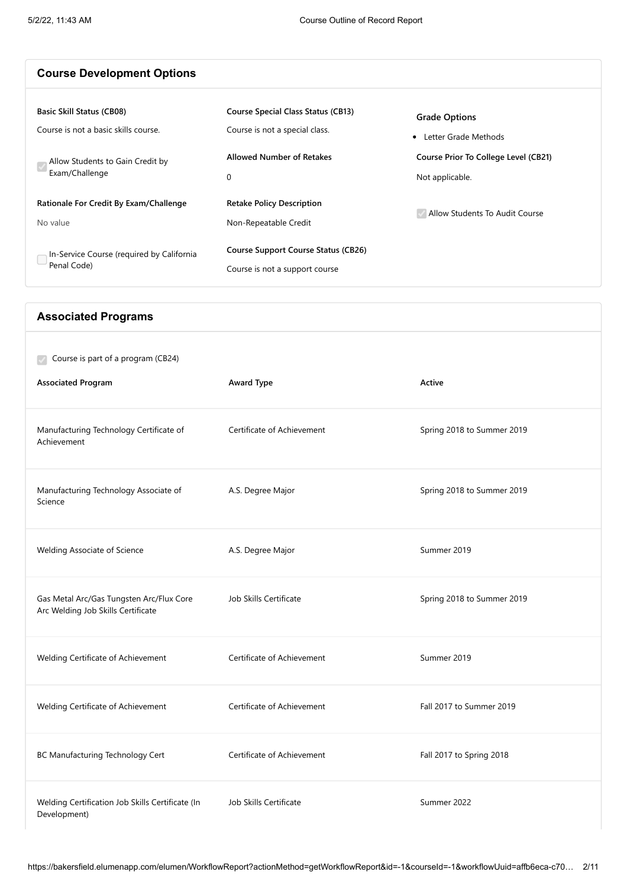| <b>Course Development Options</b>                                                                                                                                                                                                                |                                                                                                                                                                                                                                                                             |                                                                                                                                             |
|--------------------------------------------------------------------------------------------------------------------------------------------------------------------------------------------------------------------------------------------------|-----------------------------------------------------------------------------------------------------------------------------------------------------------------------------------------------------------------------------------------------------------------------------|---------------------------------------------------------------------------------------------------------------------------------------------|
| <b>Basic Skill Status (CB08)</b><br>Course is not a basic skills course.<br>Allow Students to Gain Credit by<br>Exam/Challenge<br>Rationale For Credit By Exam/Challenge<br>No value<br>In-Service Course (required by California<br>Penal Code) | <b>Course Special Class Status (CB13)</b><br>Course is not a special class.<br><b>Allowed Number of Retakes</b><br>$\mathbf 0$<br><b>Retake Policy Description</b><br>Non-Repeatable Credit<br><b>Course Support Course Status (CB26)</b><br>Course is not a support course | <b>Grade Options</b><br>• Letter Grade Methods<br>Course Prior To College Level (CB21)<br>Not applicable.<br>Allow Students To Audit Course |
| <b>Associated Programs</b>                                                                                                                                                                                                                       |                                                                                                                                                                                                                                                                             |                                                                                                                                             |
| Course is part of a program (CB24)<br><b>Associated Program</b>                                                                                                                                                                                  | <b>Award Type</b>                                                                                                                                                                                                                                                           | Active                                                                                                                                      |
| Manufacturing Technology Certificate of<br>Achievement                                                                                                                                                                                           | Certificate of Achievement                                                                                                                                                                                                                                                  | Spring 2018 to Summer 2019                                                                                                                  |
| Manufacturing Technology Associate of<br>Science                                                                                                                                                                                                 | A.S. Degree Major                                                                                                                                                                                                                                                           | Spring 2018 to Summer 2019                                                                                                                  |
| Welding Associate of Science                                                                                                                                                                                                                     | A.S. Degree Major                                                                                                                                                                                                                                                           | Summer 2019                                                                                                                                 |
| Gas Metal Arc/Gas Tungsten Arc/Flux Core<br>Arc Welding Job Skills Certificate                                                                                                                                                                   | Job Skills Certificate                                                                                                                                                                                                                                                      | Spring 2018 to Summer 2019                                                                                                                  |
| Welding Certificate of Achievement                                                                                                                                                                                                               | Certificate of Achievement                                                                                                                                                                                                                                                  | Summer 2019                                                                                                                                 |
| Welding Certificate of Achievement                                                                                                                                                                                                               | Certificate of Achievement                                                                                                                                                                                                                                                  | Fall 2017 to Summer 2019                                                                                                                    |
| BC Manufacturing Technology Cert                                                                                                                                                                                                                 | Certificate of Achievement                                                                                                                                                                                                                                                  | Fall 2017 to Spring 2018                                                                                                                    |

Welding Certification Job Skills Certificate (In Development)

Job Skills Certificate Summer 2022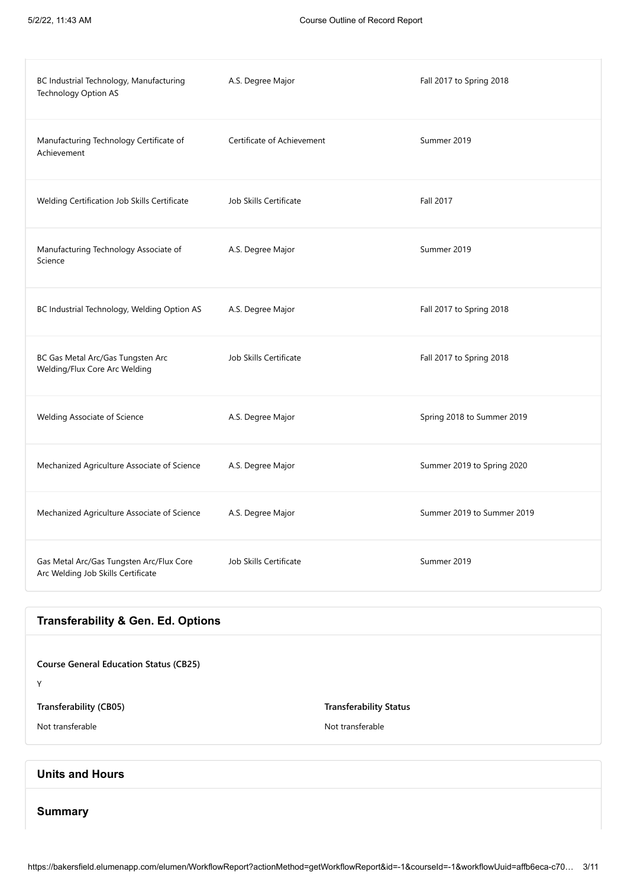| BC Industrial Technology, Manufacturing<br>Technology Option AS                | A.S. Degree Major          | Fall 2017 to Spring 2018   |
|--------------------------------------------------------------------------------|----------------------------|----------------------------|
| Manufacturing Technology Certificate of<br>Achievement                         | Certificate of Achievement | Summer 2019                |
| Welding Certification Job Skills Certificate                                   | Job Skills Certificate     | <b>Fall 2017</b>           |
| Manufacturing Technology Associate of<br>Science                               | A.S. Degree Major          | Summer 2019                |
| BC Industrial Technology, Welding Option AS                                    | A.S. Degree Major          | Fall 2017 to Spring 2018   |
| BC Gas Metal Arc/Gas Tungsten Arc<br>Welding/Flux Core Arc Welding             | Job Skills Certificate     | Fall 2017 to Spring 2018   |
| Welding Associate of Science                                                   | A.S. Degree Major          | Spring 2018 to Summer 2019 |
| Mechanized Agriculture Associate of Science                                    | A.S. Degree Major          | Summer 2019 to Spring 2020 |
| Mechanized Agriculture Associate of Science                                    | A.S. Degree Major          | Summer 2019 to Summer 2019 |
| Gas Metal Arc/Gas Tungsten Arc/Flux Core<br>Arc Welding Job Skills Certificate | Job Skills Certificate     | Summer 2019                |

## **Transferability & Gen. Ed. Options**

| <b>Course General Education Status (CB25)</b><br>Y |                               |
|----------------------------------------------------|-------------------------------|
| <b>Transferability (CB05)</b>                      | <b>Transferability Status</b> |
| Not transferable                                   | Not transferable              |
|                                                    |                               |
| the March of the company                           |                               |

## **Units and Hours**

#### **Summary**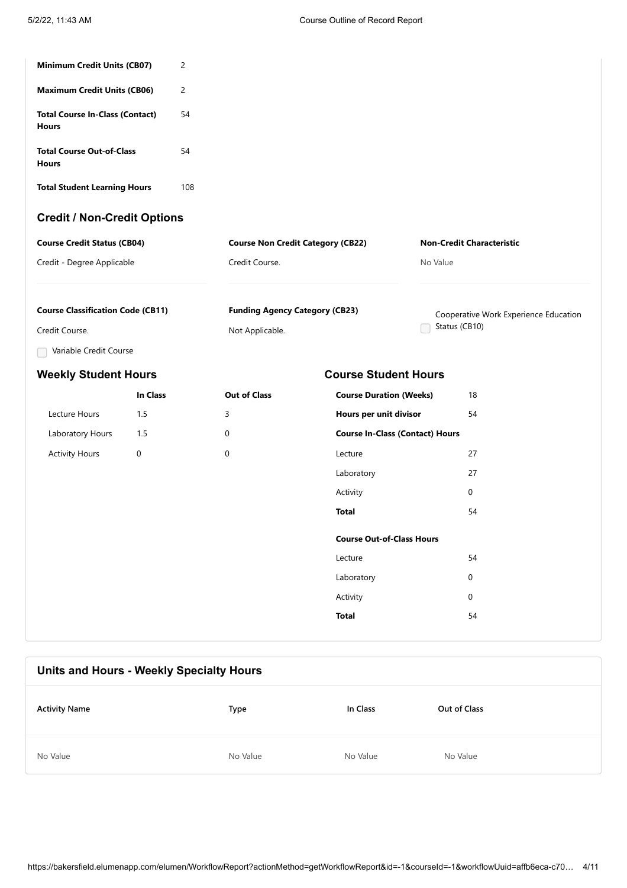| 2                                  |                                          |                                  |  |  |
|------------------------------------|------------------------------------------|----------------------------------|--|--|
| 2                                  |                                          |                                  |  |  |
| 54                                 |                                          |                                  |  |  |
| 54                                 |                                          |                                  |  |  |
| 108                                |                                          |                                  |  |  |
| <b>Credit / Non-Credit Options</b> |                                          |                                  |  |  |
|                                    | <b>Course Non Credit Category (CB22)</b> | <b>Non-Credit Characteristic</b> |  |  |
|                                    | Credit Course.                           | No Value                         |  |  |
|                                    |                                          |                                  |  |  |

| <b>Course Classification Code (CB11)</b> | <b>Funding Agency Category (CB23)</b> | Cooperative Work Experience Education |
|------------------------------------------|---------------------------------------|---------------------------------------|
| Credit Course.                           | Not Applicable.                       | ◯ Status (CB10)                       |

Variable Credit Course

#### **Weekly Student Hours Course Student Hours**

## **In Class Out of Class** Lecture Hours 1.5 3 Laboratory Hours 1.5 0 Activity Hours 0 0 **Course Duration (Weeks)** 18 **Hours per unit divisor** 54 **Course In-Class (Contact) Hours** Lecture 27 Laboratory 27 Activity 0 **Total** 54 **Course Out-of-Class Hours** Lecture 54 Laboratory 0 Activity 0 **Total** 54

# **Units and Hours - Weekly Specialty Hours Activity Name Type In Class Out of Class** No Value **No Value** No Value **No Value** No Value No Value No Value No Value No Value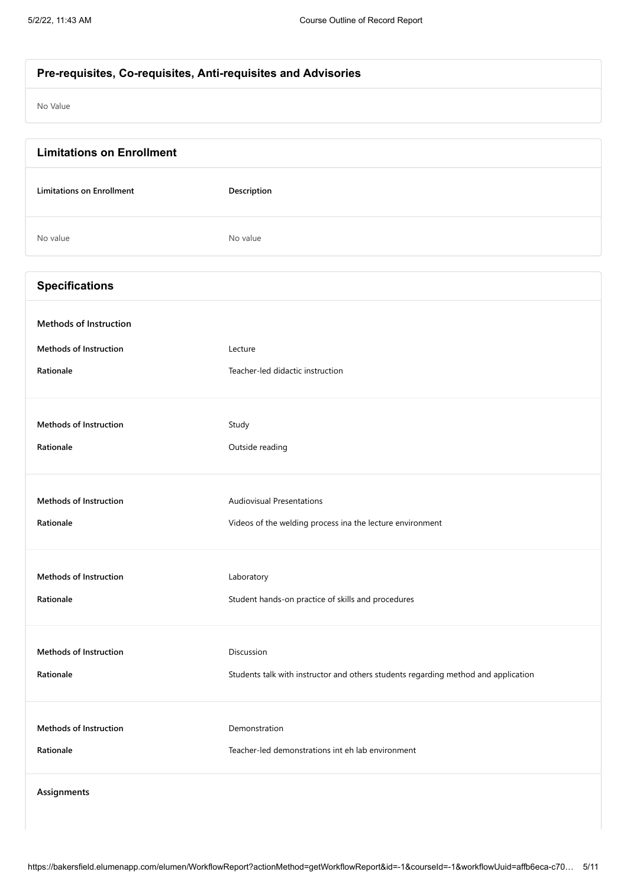| Pre-requisites, Co-requisites, Anti-requisites and Advisories |                                  |  |
|---------------------------------------------------------------|----------------------------------|--|
|                                                               |                                  |  |
| No Value                                                      |                                  |  |
|                                                               |                                  |  |
|                                                               |                                  |  |
| <b>Limitations on Enrollment</b>                              |                                  |  |
|                                                               |                                  |  |
| <b>Limitations on Enrollment</b>                              | Description                      |  |
|                                                               |                                  |  |
| No value                                                      | No value                         |  |
|                                                               |                                  |  |
| <b>Specifications</b>                                         |                                  |  |
|                                                               |                                  |  |
| <b>Methods of Instruction</b>                                 |                                  |  |
|                                                               |                                  |  |
| <b>Methods of Instruction</b>                                 | Lecture                          |  |
| Rationale                                                     | Teacher-led didactic instruction |  |

| <b>Methods of Instruction</b> | Study                                                                              |
|-------------------------------|------------------------------------------------------------------------------------|
| Rationale                     | Outside reading                                                                    |
| <b>Methods of Instruction</b> | <b>Audiovisual Presentations</b>                                                   |
| Rationale                     | Videos of the welding process ina the lecture environment                          |
| <b>Methods of Instruction</b> | Laboratory                                                                         |
| Rationale                     | Student hands-on practice of skills and procedures                                 |
| <b>Methods of Instruction</b> | Discussion                                                                         |
| Rationale                     | Students talk with instructor and others students regarding method and application |
| <b>Methods of Instruction</b> | Demonstration                                                                      |
| Rationale                     | Teacher-led demonstrations int eh lab environment                                  |

**Assignments**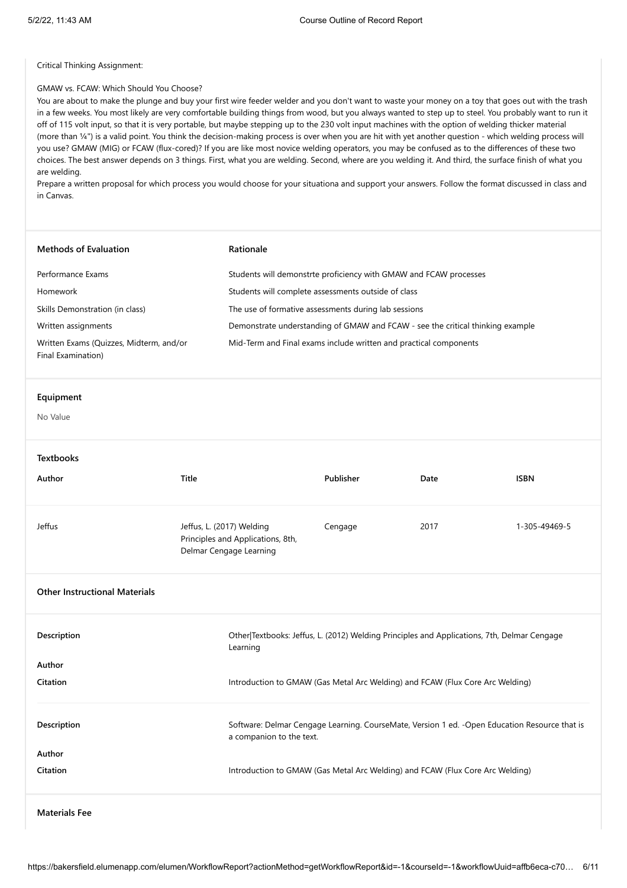Critical Thinking Assignment:

#### GMAW vs. FCAW: Which Should You Choose?

You are about to make the plunge and buy your first wire feeder welder and you don't want to waste your money on a toy that goes out with the trash in a few weeks. You most likely are very comfortable building things from wood, but you always wanted to step up to steel. You probably want to run it off of 115 volt input, so that it is very portable, but maybe stepping up to the 230 volt input machines with the option of welding thicker material (more than ¼") is a valid point. You think the decision-making process is over when you are hit with yet another question - which welding process will you use? GMAW (MIG) or FCAW (flux-cored)? If you are like most novice welding operators, you may be confused as to the differences of these two choices. The best answer depends on 3 things. First, what you are welding. Second, where are you welding it. And third, the surface finish of what you are welding.

Prepare a written proposal for which process you would choose for your situationa and support your answers. Follow the format discussed in class and in Canvas.

| <b>Methods of Evaluation</b>                                  | Rationale                                                                                 |                                                                                                                            |                                                                   |               |  |
|---------------------------------------------------------------|-------------------------------------------------------------------------------------------|----------------------------------------------------------------------------------------------------------------------------|-------------------------------------------------------------------|---------------|--|
| Performance Exams                                             |                                                                                           | Students will demonstrte proficiency with GMAW and FCAW processes                                                          |                                                                   |               |  |
| Homework                                                      | Students will complete assessments outside of class                                       |                                                                                                                            |                                                                   |               |  |
| Skills Demonstration (in class)                               | The use of formative assessments during lab sessions                                      |                                                                                                                            |                                                                   |               |  |
| Written assignments                                           | Demonstrate understanding of GMAW and FCAW - see the critical thinking example            |                                                                                                                            |                                                                   |               |  |
| Written Exams (Quizzes, Midterm, and/or<br>Final Examination) |                                                                                           |                                                                                                                            | Mid-Term and Final exams include written and practical components |               |  |
| Equipment                                                     |                                                                                           |                                                                                                                            |                                                                   |               |  |
| No Value                                                      |                                                                                           |                                                                                                                            |                                                                   |               |  |
| <b>Textbooks</b>                                              |                                                                                           |                                                                                                                            |                                                                   |               |  |
| Author                                                        | Title                                                                                     | Publisher                                                                                                                  | Date                                                              | <b>ISBN</b>   |  |
| Jeffus                                                        | Jeffus, L. (2017) Welding<br>Principles and Applications, 8th,<br>Delmar Cengage Learning | Cengage                                                                                                                    | 2017                                                              | 1-305-49469-5 |  |
| <b>Other Instructional Materials</b>                          |                                                                                           |                                                                                                                            |                                                                   |               |  |
| Description                                                   | Learning                                                                                  | Other Textbooks: Jeffus, L. (2012) Welding Principles and Applications, 7th, Delmar Cengage                                |                                                                   |               |  |
| Author                                                        |                                                                                           |                                                                                                                            |                                                                   |               |  |
| Citation                                                      |                                                                                           | Introduction to GMAW (Gas Metal Arc Welding) and FCAW (Flux Core Arc Welding)                                              |                                                                   |               |  |
| Description                                                   |                                                                                           | Software: Delmar Cengage Learning. CourseMate, Version 1 ed. - Open Education Resource that is<br>a companion to the text. |                                                                   |               |  |
| Author                                                        |                                                                                           |                                                                                                                            |                                                                   |               |  |
| Citation                                                      | Introduction to GMAW (Gas Metal Arc Welding) and FCAW (Flux Core Arc Welding)             |                                                                                                                            |                                                                   |               |  |
| <b>Materials Fee</b>                                          |                                                                                           |                                                                                                                            |                                                                   |               |  |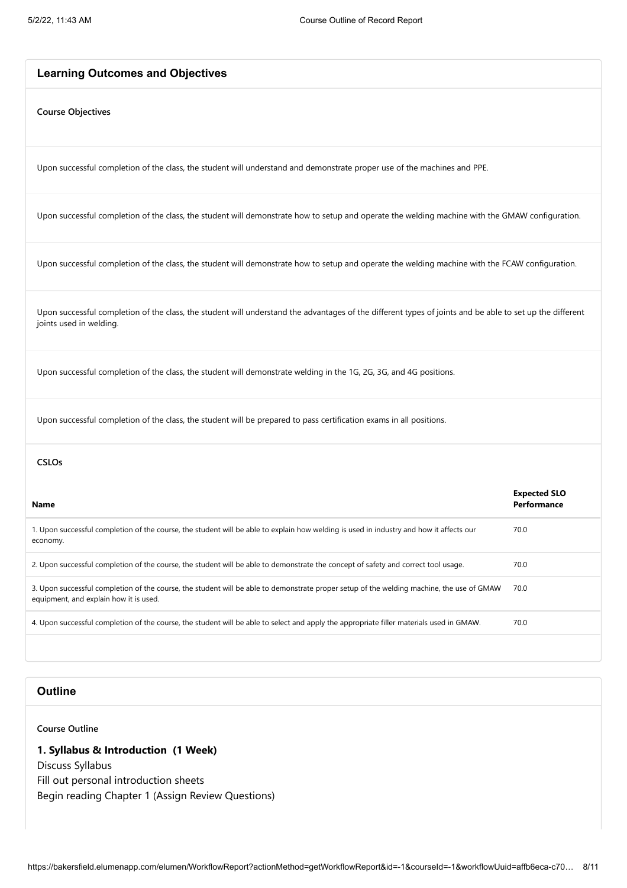#### **Learning Outcomes and Objectives**

#### **Course Objectives**

Upon successful completion of the class, the student will understand and demonstrate proper use of the machines and PPE.

Upon successful completion of the class, the student will demonstrate how to setup and operate the welding machine with the GMAW configuration.

Upon successful completion of the class, the student will demonstrate how to setup and operate the welding machine with the FCAW configuration.

Upon successful completion of the class, the student will understand the advantages of the different types of joints and be able to set up the different joints used in welding.

Upon successful completion of the class, the student will demonstrate welding in the 1G, 2G, 3G, and 4G positions.

Upon successful completion of the class, the student will be prepared to pass certification exams in all positions.

#### **CSLOs**

| <b>Name</b>                                                                                                                                                                         | <b>Expected SLO</b><br>Performance |
|-------------------------------------------------------------------------------------------------------------------------------------------------------------------------------------|------------------------------------|
| 1. Upon successful completion of the course, the student will be able to explain how welding is used in industry and how it affects our<br>economy.                                 | 70.0                               |
| 2. Upon successful completion of the course, the student will be able to demonstrate the concept of safety and correct tool usage.                                                  | 70.0                               |
| 3. Upon successful completion of the course, the student will be able to demonstrate proper setup of the welding machine, the use of GMAW<br>equipment, and explain how it is used. | 70.0                               |
| 4. Upon successful completion of the course, the student will be able to select and apply the appropriate filler materials used in GMAW.                                            | 70.0                               |
|                                                                                                                                                                                     |                                    |

## **Outline**

**Course Outline**

#### **1. Syllabus & Introduction (1 Week)**

Discuss Syllabus Fill out personal introduction sheets Begin reading Chapter 1 (Assign Review Questions)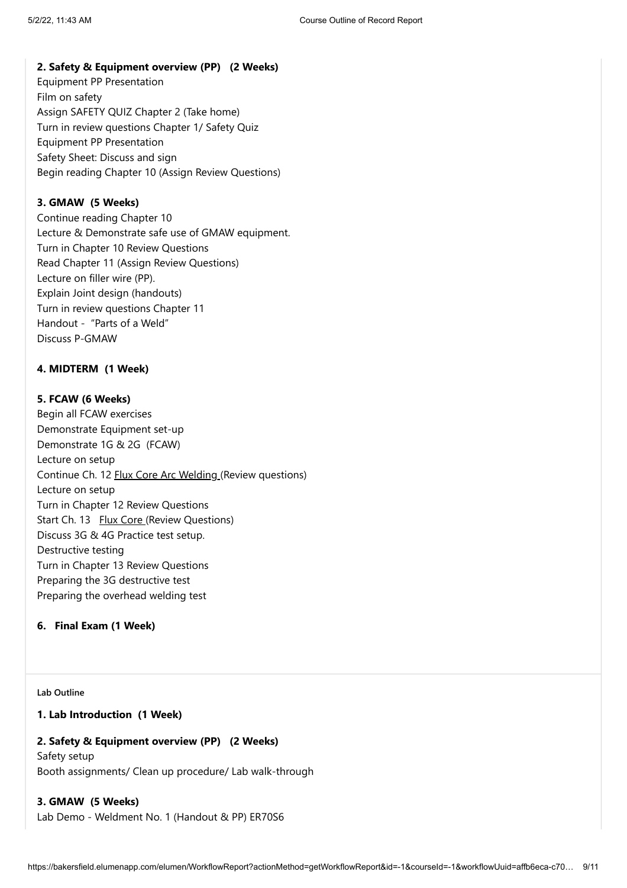#### **2. Safety & Equipment overview (PP) (2 Weeks)**

Equipment PP Presentation Film on safety Assign SAFETY QUIZ Chapter 2 (Take home) Turn in review questions Chapter 1/ Safety Quiz Equipment PP Presentation Safety Sheet: Discuss and sign Begin reading Chapter 10 (Assign Review Questions)

#### **3. GMAW (5 Weeks)**

Continue reading Chapter 10 Lecture & Demonstrate safe use of GMAW equipment. Turn in Chapter 10 Review Questions Read Chapter 11 (Assign Review Questions) Lecture on filler wire (PP). Explain Joint design (handouts) Turn in review questions Chapter 11 Handout - "Parts of a Weld" Discuss P-GMAW

#### **4. MIDTERM (1 Week)**

#### **5. FCAW (6 Weeks)**

Begin all FCAW exercises Demonstrate Equipment set-up Demonstrate 1G & 2G (FCAW) Lecture on setup Continue Ch. 12 Flux Core Arc Welding (Review questions) Lecture on setup Turn in Chapter 12 Review Questions Start Ch. 13 Flux Core (Review Questions) Discuss 3G & 4G Practice test setup. Destructive testing Turn in Chapter 13 Review Questions Preparing the 3G destructive test Preparing the overhead welding test

#### **6. Final Exam (1 Week)**

#### **Lab Outline**

#### **1. Lab Introduction (1 Week)**

#### **2. Safety & Equipment overview (PP) (2 Weeks)**

Safety setup Booth assignments/ Clean up procedure/ Lab walk-through

### **3. GMAW (5 Weeks)**

Lab Demo - Weldment No. 1 (Handout & PP) ER70S6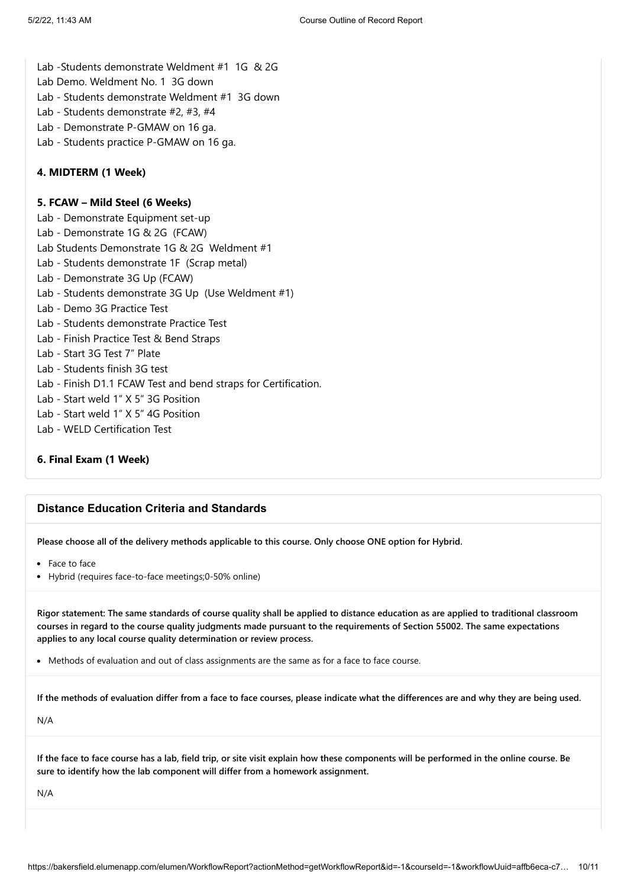- Lab -Students demonstrate Weldment #1 1G & 2G
- Lab Demo. Weldment No. 1 3G down
- Lab Students demonstrate Weldment #1 3G down
- Lab Students demonstrate #2, #3, #4
- Lab Demonstrate P-GMAW on 16 ga.
- Lab Students practice P-GMAW on 16 ga.

#### **4. MIDTERM (1 Week)**

#### **5. FCAW – Mild Steel (6 Weeks)**

Lab - Demonstrate Equipment set-up Lab - Demonstrate 1G & 2G (FCAW) Lab Students Demonstrate 1G & 2G Weldment #1 Lab - Students demonstrate 1F (Scrap metal) Lab - Demonstrate 3G Up (FCAW) Lab - Students demonstrate 3G Up (Use Weldment #1) Lab - Demo 3G Practice Test Lab - Students demonstrate Practice Test Lab - Finish Practice Test & Bend Straps Lab - Start 3G Test 7" Plate Lab - Students finish 3G test Lab - Finish D1.1 FCAW Test and bend straps for Certification. Lab - Start weld 1" X 5" 3G Position Lab - Start weld 1" X 5" 4G Position Lab - WELD Certification Test

#### **6. Final Exam (1 Week)**

#### **Distance Education Criteria and Standards**

**Please choose all of the delivery methods applicable to this course. Only choose ONE option for Hybrid.**

- Face to face
- Hybrid (requires face-to-face meetings;0-50% online)

**Rigor statement: The same standards of course quality shall be applied to distance education as are applied to traditional classroom courses in regard to the course quality judgments made pursuant to the requirements of Section 55002. The same expectations applies to any local course quality determination or review process.**

• Methods of evaluation and out of class assignments are the same as for a face to face course.

**If the methods of evaluation differ from a face to face courses, please indicate what the differences are and why they are being used.**

N/A

**If the face to face course has a lab, field trip, or site visit explain how these components will be performed in the online course. Be sure to identify how the lab component will differ from a homework assignment.**

N/A